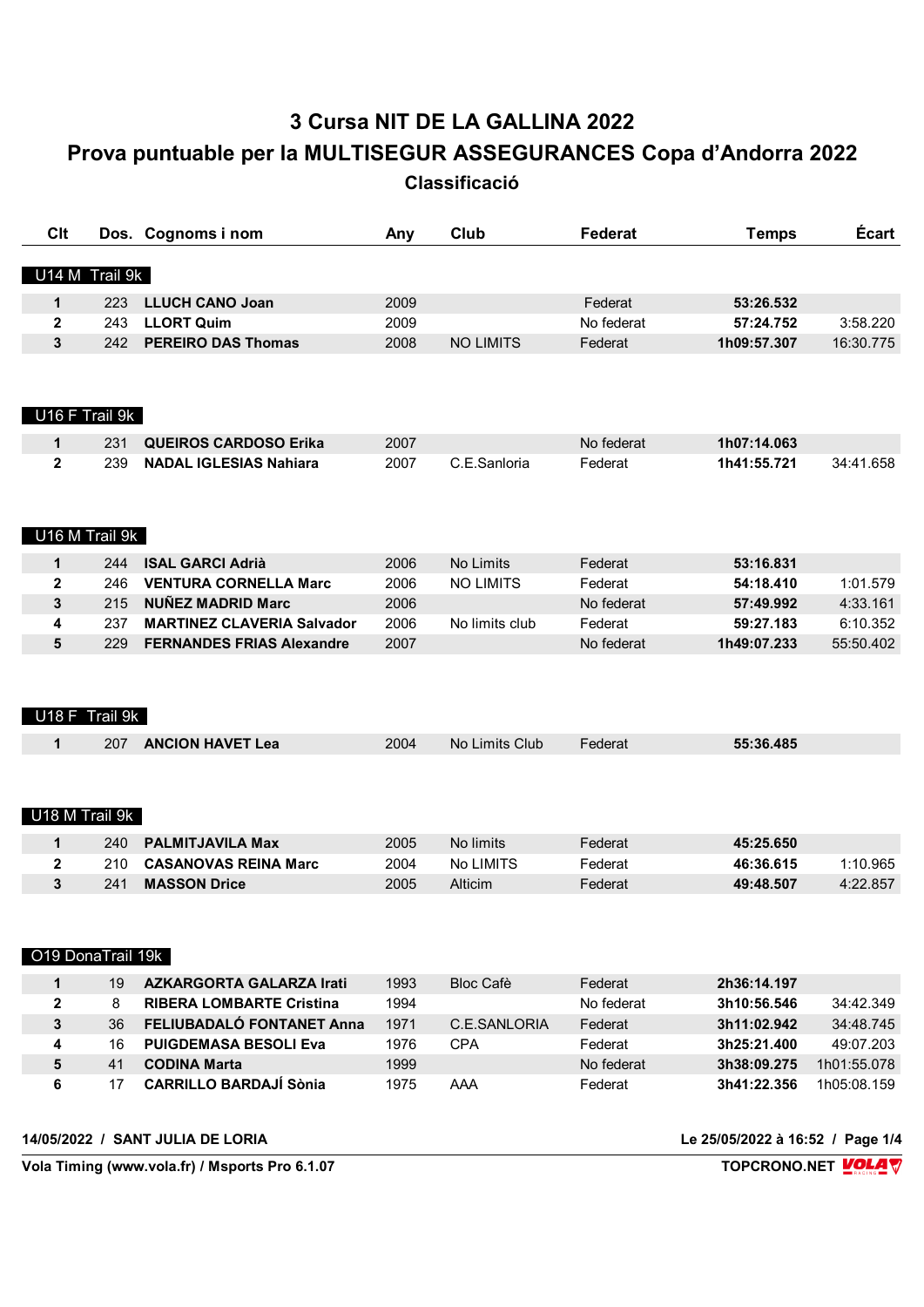## 3 Cursa NIT DE LA GALLINA 2022 Prova puntuable per la MULTISEGUR ASSEGURANCES Copa d'Andorra 2022

Classificació

| Clt               |                | Dos. Cognoms i nom                | Any  | Club             | Federat    | <b>Temps</b> | Écart       |
|-------------------|----------------|-----------------------------------|------|------------------|------------|--------------|-------------|
| U14 M Trail 9k    |                |                                   |      |                  |            |              |             |
| 1                 | 223            | <b>LLUCH CANO Joan</b>            | 2009 |                  | Federat    | 53:26.532    |             |
| 2                 | 243            | <b>LLORT Quim</b>                 | 2009 |                  | No federat | 57:24.752    | 3:58.220    |
| 3                 | 242            | <b>PEREIRO DAS Thomas</b>         | 2008 | <b>NO LIMITS</b> | Federat    | 1h09:57.307  | 16:30.775   |
| U16 F Trail 9k    |                |                                   |      |                  |            |              |             |
| 1                 | 231            | <b>QUEIROS CARDOSO Erika</b>      | 2007 |                  | No federat | 1h07:14.063  |             |
| $\overline{2}$    | 239            | <b>NADAL IGLESIAS Nahiara</b>     | 2007 | C.E.Sanloria     | Federat    | 1h41:55.721  | 34:41.658   |
|                   |                |                                   |      |                  |            |              |             |
| U16 M Trail 9k    |                |                                   |      |                  |            |              |             |
| 1                 | 244            | <b>ISAL GARCI Adrià</b>           | 2006 | No Limits        | Federat    | 53:16.831    |             |
| $\overline{2}$    | 246            | <b>VENTURA CORNELLA Marc</b>      | 2006 | <b>NO LIMITS</b> | Federat    | 54:18.410    | 1:01.579    |
| 3                 | 215            | <b>NUÑEZ MADRID Marc</b>          | 2006 |                  | No federat | 57:49.992    | 4:33.161    |
| 4                 | 237            | <b>MARTINEZ CLAVERIA Salvador</b> | 2006 | No limits club   | Federat    | 59:27.183    | 6:10.352    |
| 5                 | 229            | <b>FERNANDES FRIAS Alexandre</b>  | 2007 |                  | No federat | 1h49:07.233  | 55:50.402   |
|                   | U18 F Trail 9k |                                   |      |                  |            |              |             |
| 1                 | 207            | <b>ANCION HAVET Lea</b>           | 2004 | No Limits Club   | Federat    | 55:36.485    |             |
| U18 M Trail 9k    |                |                                   |      |                  |            |              |             |
| 1                 | 240            | <b>PALMITJAVILA Max</b>           | 2005 | No limits        | Federat    | 45:25.650    |             |
| 2                 | 210            | <b>CASANOVAS REINA Marc</b>       | 2004 | No LIMITS        | Federat    | 46:36.615    | 1:10.965    |
| 3                 | 241            | <b>MASSON Drice</b>               | 2005 | Alticim          | Federat    | 49:48.507    | 4:22.857    |
| O19 DonaTrail 19k |                |                                   |      |                  |            |              |             |
|                   |                |                                   |      |                  |            |              |             |
| 1                 | 19             | <b>AZKARGORTA GALARZA Irati</b>   | 1993 | <b>Bloc Cafè</b> | Federat    | 2h36:14.197  |             |
| 2                 | 8              | <b>RIBERA LOMBARTE Cristina</b>   | 1994 |                  | No federat | 3h10:56.546  | 34:42.349   |
| 3                 | 36             | FELIUBADALÓ FONTANET Anna         | 1971 | C.E.SANLORIA     | Federat    | 3h11:02.942  | 34:48.745   |
| 4                 | 16             | <b>PUIGDEMASA BESOLI Eva</b>      | 1976 | <b>CPA</b>       | Federat    | 3h25:21.400  | 49:07.203   |
| 5                 | 41             | <b>CODINA Marta</b>               | 1999 |                  | No federat | 3h38:09.275  | 1h01:55.078 |
| 6                 | 17             | <b>CARRILLO BARDAJÍ Sònia</b>     | 1975 | AAA              | Federat    | 3h41:22.356  | 1h05:08.159 |

14/05/2022 / SANT JULIA DE LORIA

Le 25/05/2022 à 16:52 / Page 1/4

Vola Timing (www.vola.fr) / Msports Pro 6.1.07

TOPCRONO.NET VOLAV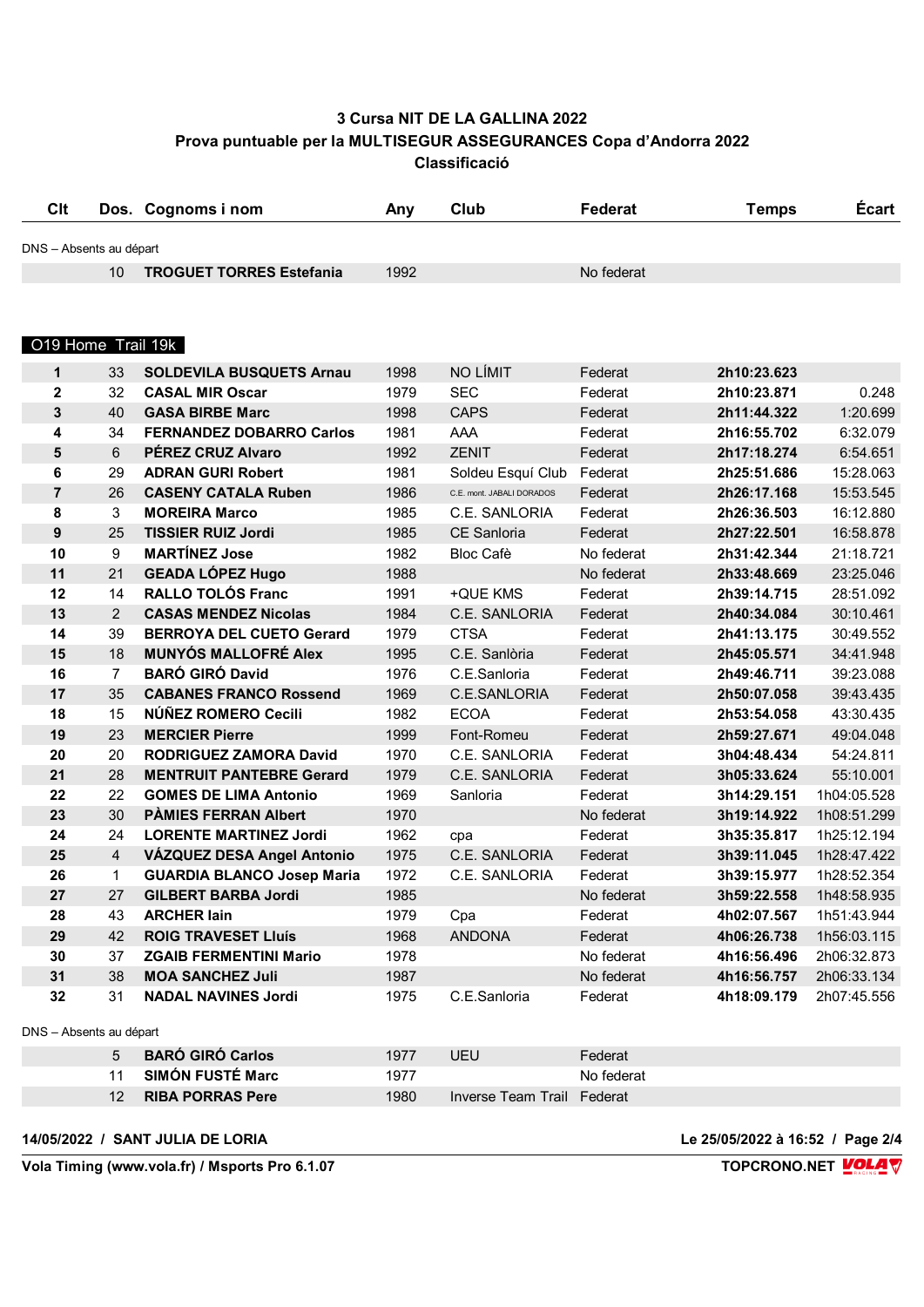## **3 Cursa NIT DE LA GALLINA 2022 Prova puntuable per la MULTISEGUR ASSEGURANCES Copa d'Andorra 2022 Classificació**

| <b>Clt</b>              |                | Dos. Cognoms i nom                | Any  | Club                      | Federat    | <b>Temps</b> | Écart       |
|-------------------------|----------------|-----------------------------------|------|---------------------------|------------|--------------|-------------|
| DNS - Absents au départ |                |                                   |      |                           |            |              |             |
|                         | 10             | <b>TROGUET TORRES Estefania</b>   | 1992 |                           | No federat |              |             |
|                         |                |                                   |      |                           |            |              |             |
| O19 Home Trail 19k      |                |                                   |      |                           |            |              |             |
| 1                       | 33             | <b>SOLDEVILA BUSQUETS Arnau</b>   | 1998 | NO LÍMIT                  | Federat    | 2h10:23.623  |             |
| 2                       | 32             | <b>CASAL MIR Oscar</b>            | 1979 | <b>SEC</b>                | Federat    | 2h10:23.871  | 0.248       |
| $\mathbf{3}$            | 40             | <b>GASA BIRBE Marc</b>            | 1998 | <b>CAPS</b>               | Federat    | 2h11:44.322  | 1:20.699    |
| 4                       | 34             | <b>FERNANDEZ DOBARRO Carlos</b>   | 1981 | AAA                       | Federat    | 2h16:55.702  | 6:32.079    |
| 5                       | 6              | PÉREZ CRUZ Alvaro                 | 1992 | <b>ZENIT</b>              | Federat    | 2h17:18.274  | 6:54.651    |
| 6                       | 29             | <b>ADRAN GURI Robert</b>          | 1981 | Soldeu Esquí Club         | Federat    | 2h25:51.686  | 15:28.063   |
| $\overline{7}$          | 26             | <b>CASENY CATALA Ruben</b>        | 1986 | C.E. mont. JABALI DORADOS | Federat    | 2h26:17.168  | 15:53.545   |
| 8                       | 3              | <b>MOREIRA Marco</b>              | 1985 | C.E. SANLORIA             | Federat    | 2h26:36.503  | 16:12.880   |
| $\boldsymbol{9}$        | 25             | <b>TISSIER RUIZ Jordi</b>         | 1985 | <b>CE Sanloria</b>        | Federat    | 2h27:22.501  | 16:58.878   |
| 10                      | 9              | <b>MARTÍNEZ Jose</b>              | 1982 | <b>Bloc Cafè</b>          | No federat | 2h31:42.344  | 21:18.721   |
| 11                      | 21             | <b>GEADA LÓPEZ Hugo</b>           | 1988 |                           | No federat | 2h33:48.669  | 23:25.046   |
| 12                      | 14             | <b>RALLO TOLÓS Franc</b>          | 1991 | +QUE KMS                  | Federat    | 2h39:14.715  | 28:51.092   |
| 13                      | $\overline{2}$ | <b>CASAS MENDEZ Nicolas</b>       | 1984 | C.E. SANLORIA             | Federat    | 2h40:34.084  | 30:10.461   |
| 14                      | 39             | <b>BERROYA DEL CUETO Gerard</b>   | 1979 | <b>CTSA</b>               | Federat    | 2h41:13.175  | 30:49.552   |
| 15                      | 18             | <b>MUNYÓS MALLOFRÉ Alex</b>       | 1995 | C.E. Sanlòria             | Federat    | 2h45:05.571  | 34:41.948   |
| 16                      | $\overline{7}$ | <b>BARÓ GIRÓ David</b>            | 1976 | C.E.Sanloria              | Federat    | 2h49:46.711  | 39:23.088   |
| 17                      | 35             | <b>CABANES FRANCO Rossend</b>     | 1969 | C.E.SANLORIA              | Federat    | 2h50:07.058  | 39:43.435   |
| 18                      | 15             | NÚÑEZ ROMERO Cecili               | 1982 | <b>ECOA</b>               | Federat    | 2h53:54.058  | 43:30.435   |
| 19                      | 23             | <b>MERCIER Pierre</b>             | 1999 | Font-Romeu                | Federat    | 2h59:27.671  | 49:04.048   |
| 20                      | 20             | <b>RODRIGUEZ ZAMORA David</b>     | 1970 | C.E. SANLORIA             | Federat    | 3h04:48.434  | 54:24.811   |
| 21                      | 28             | <b>MENTRUIT PANTEBRE Gerard</b>   | 1979 | C.E. SANLORIA             | Federat    | 3h05:33.624  | 55:10.001   |
| 22                      | 22             | <b>GOMES DE LIMA Antonio</b>      | 1969 | Sanloria                  | Federat    | 3h14:29.151  | 1h04:05.528 |
| 23                      | 30             | <b>PÀMIES FERRAN Albert</b>       | 1970 |                           | No federat | 3h19:14.922  | 1h08:51.299 |
| 24                      | 24             | <b>LORENTE MARTINEZ Jordi</b>     | 1962 | cpa                       | Federat    | 3h35:35.817  | 1h25:12.194 |
| 25                      | $\overline{4}$ | VÁZQUEZ DESA Angel Antonio        | 1975 | C.E. SANLORIA             | Federat    | 3h39:11.045  | 1h28:47.422 |
| 26                      | 1              | <b>GUARDIA BLANCO Josep Maria</b> | 1972 | C.E. SANLORIA             | Federat    | 3h39:15.977  | 1h28:52.354 |
| 27                      | 27             | <b>GILBERT BARBA Jordi</b>        | 1985 |                           | No federat | 3h59:22.558  | 1h48:58.935 |
| 28                      | 43             | <b>ARCHER lain</b>                | 1979 | Cpa                       | Federat    | 4h02:07.567  | 1h51:43.944 |
| 29                      | 42             | <b>ROIG TRAVESET Lluís</b>        | 1968 | <b>ANDONA</b>             | Federat    | 4h06:26.738  | 1h56:03.115 |
| 30                      | 37             | <b>ZGAIB FERMENTINI Mario</b>     | 1978 |                           | No federat | 4h16:56.496  | 2h06:32.873 |
| 31                      | 38             | <b>MOA SANCHEZ Juli</b>           | 1987 |                           | No federat | 4h16:56.757  | 2h06:33.134 |
| 32                      | 31             | <b>NADAL NAVINES Jordi</b>        | 1975 | C.E.Sanloria              | Federat    | 4h18:09.179  | 2h07:45.556 |
| DNS - Absents au départ |                |                                   |      |                           |            |              |             |
|                         | 5              | <b>BARÓ GIRÓ Carlos</b>           | 1977 | <b>UEU</b>                | Federat    |              |             |
|                         | 11             | <b>SIMÓN FUSTÉ Marc</b>           | 1977 |                           | No federat |              |             |
|                         | 12             | <b>RIBA PORRAS Pere</b>           | 1980 | Inverse Team Trail        | Federat    |              |             |

**14/05/2022 / SANT JULIA DE LORIA Le 25/05/2022 à 16:52 / Page 2/4**

**Vola Timing (www.vola.fr) / Msports Pro 6.1.07 TOPCRONO.NET**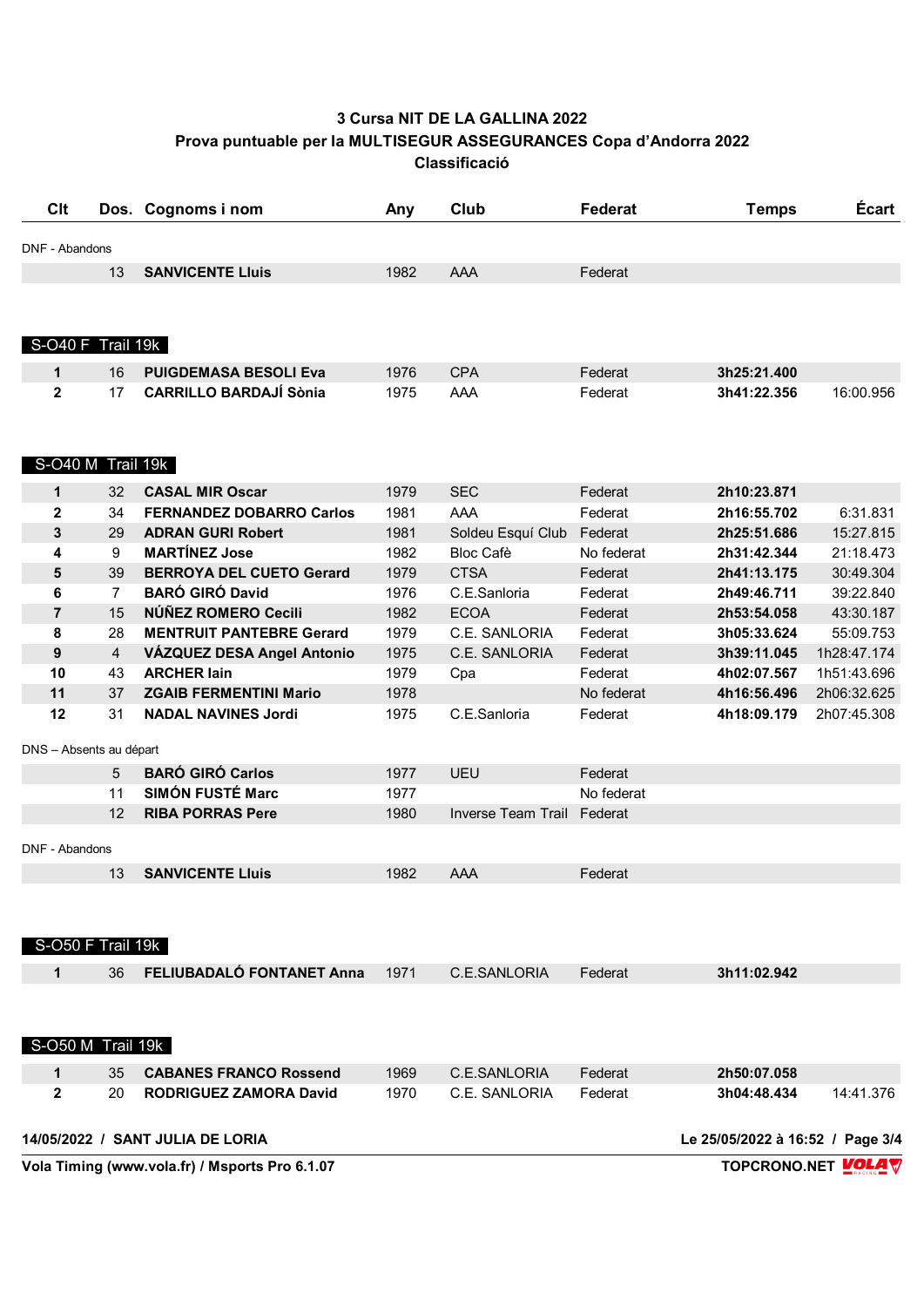## **3 Cursa NIT DE LA GALLINA 2022 Prova puntuable per la MULTISEGUR ASSEGURANCES Copa d'Andorra 2022 Classificació**

| <b>Clt</b>              |                | Dos. Cognoms i nom                             | Any  | Club                       | Federat    | <b>Temps</b>                     | Écart              |
|-------------------------|----------------|------------------------------------------------|------|----------------------------|------------|----------------------------------|--------------------|
| DNF - Abandons          |                |                                                |      |                            |            |                                  |                    |
|                         | 13             | <b>SANVICENTE Lluis</b>                        | 1982 | AAA                        | Federat    |                                  |                    |
|                         |                |                                                |      |                            |            |                                  |                    |
| S-O40 F Trail 19k       |                |                                                |      |                            |            |                                  |                    |
| 1                       | 16             | <b>PUIGDEMASA BESOLI Eva</b>                   | 1976 | <b>CPA</b>                 | Federat    | 3h25:21.400                      |                    |
| $\mathbf{2}$            | 17             | <b>CARRILLO BARDAJÍ Sònia</b>                  | 1975 | AAA                        | Federat    | 3h41:22.356                      | 16:00.956          |
| S-O40 M Trail 19k       |                |                                                |      |                            |            |                                  |                    |
| $\mathbf 1$             | 32             | <b>CASAL MIR Oscar</b>                         | 1979 | <b>SEC</b>                 | Federat    | 2h10:23.871                      |                    |
| $\mathbf{2}$            | 34             | <b>FERNANDEZ DOBARRO Carlos</b>                | 1981 | <b>AAA</b>                 | Federat    | 2h16:55.702                      | 6:31.831           |
| $\mathbf{3}$            | 29             | <b>ADRAN GURI Robert</b>                       | 1981 | Soldeu Esquí Club          | Federat    | 2h25:51.686                      | 15:27.815          |
| 4                       | 9              | <b>MARTÍNEZ Jose</b>                           | 1982 | <b>Bloc Cafè</b>           | No federat | 2h31:42.344                      | 21:18.473          |
| 5                       | 39             | <b>BERROYA DEL CUETO Gerard</b>                | 1979 | <b>CTSA</b>                | Federat    | 2h41:13.175                      | 30:49.304          |
| 6                       | $\overline{7}$ | <b>BARÓ GIRÓ David</b>                         | 1976 | C.E.Sanloria               | Federat    | 2h49:46.711                      | 39:22.840          |
| $\overline{7}$          | 15             | NÚÑEZ ROMERO Cecili                            | 1982 | <b>ECOA</b>                | Federat    | 2h53:54.058                      | 43:30.187          |
| 8                       | 28             | <b>MENTRUIT PANTEBRE Gerard</b>                | 1979 | C.E. SANLORIA              | Federat    | 3h05:33.624                      | 55:09.753          |
| $\boldsymbol{9}$        | $\overline{4}$ | VÁZQUEZ DESA Angel Antonio                     | 1975 | C.E. SANLORIA              | Federat    | 3h39:11.045                      | 1h28:47.174        |
| 10                      | 43             | <b>ARCHER lain</b>                             | 1979 | Cpa                        | Federat    | 4h02:07.567                      | 1h51:43.696        |
| 11                      | 37             | <b>ZGAIB FERMENTINI Mario</b>                  | 1978 |                            | No federat | 4h16:56.496                      | 2h06:32.625        |
| 12                      | 31             | <b>NADAL NAVINES Jordi</b>                     | 1975 | C.E.Sanloria               | Federat    | 4h18:09.179                      | 2h07:45.308        |
| DNS - Absents au départ |                |                                                |      |                            |            |                                  |                    |
|                         | 5              | <b>BARÓ GIRÓ Carlos</b>                        | 1977 | UEU                        | Federat    |                                  |                    |
|                         | 11             | <b>SIMÓN FUSTÉ Marc</b>                        | 1977 |                            | No federat |                                  |                    |
|                         | 12             | <b>RIBA PORRAS Pere</b>                        | 1980 | Inverse Team Trail Federat |            |                                  |                    |
| DNF - Abandons          |                |                                                |      |                            |            |                                  |                    |
|                         | 13             | <b>SANVICENTE Lluis</b>                        | 1982 | AAA                        | Federat    |                                  |                    |
| S-O50 F Trail 19k       |                |                                                |      |                            |            |                                  |                    |
| 1                       | 36             | FELIUBADALÓ FONTANET Anna                      | 1971 | C.E.SANLORIA               | Federat    | 3h11:02.942                      |                    |
|                         |                |                                                |      |                            |            |                                  |                    |
| S-O50 M Trail 19k       |                |                                                |      |                            |            |                                  |                    |
| $\mathbf{1}$            | 35             | <b>CABANES FRANCO Rossend</b>                  | 1969 | C.E.SANLORIA               | Federat    | 2h50:07.058                      |                    |
| $\mathbf{2}$            | 20             | <b>RODRIGUEZ ZAMORA David</b>                  | 1970 | C.E. SANLORIA              | Federat    | 3h04:48.434                      | 14:41.376          |
|                         |                | 14/05/2022 / SANT JULIA DE LORIA               |      |                            |            | Le 25/05/2022 à 16:52 / Page 3/4 |                    |
|                         |                | Vola Timing (www.vola.fr) / Msports Pro 6.1.07 |      |                            |            |                                  | TOPCRONO.NET VOLAV |